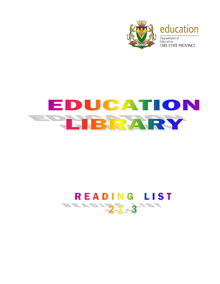

## EDUCATION LIBRARY

## READING LIST AD131-31ST **Alta**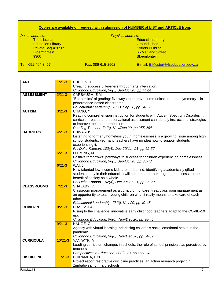## **Copies are available on request, with submission of NUMBER of LIST and ARTICLE from:**

*Postal address*: *Physical address*: **Education Library<br>Ground Floor** Education Library **Education Library** Control Control Control Control Control Control Control Control Control Control Control Control Control Control Control Control Control Control Control Control Control Control Control Private Bag X20565 Expressed and the control of the control of the control of the control of the control of the control of the control of the control of the control of the control of the control of the control of the control of the control o **Bloemfontein** Tel: 051-404-8467 Fax: 086-615-2502 E-mail: [E.Mostert@fseducation.gov.za](mailto:E.Mostert@fseducation.gov.za)

| <b>ART</b>        | $1/21 - 3$  | EDELEN, J                                                                                 |
|-------------------|-------------|-------------------------------------------------------------------------------------------|
|                   |             | Creating successful learners through arts integration.                                    |
|                   |             | Childhood Education, 96(5), Sep/Oct 20, pp 44-51                                          |
| <b>ASSESSMENT</b> | $2/21 - 3$  | <b>CARBAUGH, EM</b>                                                                       |
|                   |             | "Economics" of grading: five ways to improve communication – and symmetry – in            |
|                   |             | performance-based classrooms.                                                             |
|                   |             | Educational Leadership, 78(1), Sep 20, pp 54-59                                           |
| <b>AUTISM</b>     | $3/21 - 3$  | CHANG, Y                                                                                  |
|                   |             | Reading comprehension instruction for students with Autism Spectrum Disorder:             |
|                   |             | curriculum-based and observational assessment can identify instructional strategies       |
|                   |             | to improve their comprehension.                                                           |
|                   |             | Reading Teacher, 74(3), Nov/Dec 20, pp 255-264                                            |
| <b>BARRIERS</b>   | $4/21 - 3$  | EDWARDS, EJ                                                                               |
|                   |             | Listening to formerly homeless youth: homelessness is a growing issue among high          |
|                   |             | school students, yet many teachers have no idea how to support students                   |
|                   |             | experiencing it.                                                                          |
|                   |             | Phi Delta Kappan, 102(4), Dec 20/Jan 21, pp 52-57                                         |
|                   | $5/21-3$    | FLEMING, M                                                                                |
|                   |             | Positive tomorrows: pathways to success for children experiencing homelessness.           |
|                   |             | Childhood Education, 96(5), Sep/Oct 20, pp 30-43                                          |
|                   | $6/21 - 3$  | WAI, J                                                                                    |
|                   |             | How talented low-income kids are left behind: identifying academically gifted             |
|                   |             | students early in their education will put them on track to greater success, to the       |
|                   |             | benefit of society as a whole.                                                            |
|                   | $7/21-3$    | Phi Delta Kappan, 102(4), Dec 20/Jan 21, pp 26-29                                         |
| <b>CLASSROOMS</b> |             | SHALABY, C<br>Classroom management as a curriculum of care: treat classroom management as |
|                   |             | an opportunity to teach young children what it really means to take care of each          |
|                   |             | other.                                                                                    |
|                   |             | Educational Leadership, 78(3), Nov 20, pp 40-45                                           |
| COVID-19          | $8/21 - 3$  | DIAS, M J A                                                                               |
|                   |             | Rising to the challenge: innovative early childhood teachers adapt to the COVID-19        |
|                   |             | era.                                                                                      |
|                   |             | Childhood Education, 96(6), Nov/Dec 20, pp 38-45                                          |
|                   | $9/21-3$    | HAUGE, C                                                                                  |
|                   |             | Agency with virtual learning: prioritizing children's social emotional health in the      |
|                   |             | pandemic.                                                                                 |
|                   |             | Childhood Education, 96(6), Nov/Dec 20, pp 54-59                                          |
| <b>CURRICULA</b>  | $10/21 - 3$ | VAN WYK, A                                                                                |
|                   |             | Leading curriculum changes in schools: the role of school principals as perceived by      |
|                   |             | teachers.                                                                                 |
|                   |             | Perspectives in Education, 38(2), 20, pp 155-167                                          |
| <b>DISCIPLINE</b> | $11/21 - 3$ | CHIRAMBA, E N                                                                             |
|                   |             | Project report restorative discipline practices: an action research project in            |
|                   |             | Zimbabwean primary schools.                                                               |
| ReadList 21-3     |             | $\overline{2}$                                                                            |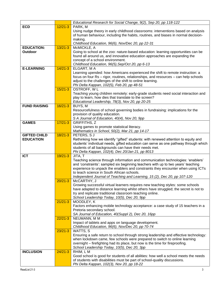|                     |             | Educational Research for Social Change, 9(2), Sep 20, pp 118-122                     |
|---------------------|-------------|--------------------------------------------------------------------------------------|
| <b>ECD</b>          | $12/21-3$   | PARK, M                                                                              |
|                     |             | Using nudge theory in early childhood classrooms: interventions based on analysis    |
|                     |             | of human behaviour, including the habits, routines, and biases in normal decision-   |
|                     |             | making.                                                                              |
|                     |             | Childhood Education, 96(6), Nov/Dec 20, pp 22-31                                     |
| <b>EDUCATION:</b>   | $13/21 - 3$ | McMICKLE, A                                                                          |
| Outdoor             |             | Going to school at the zoo: nature-based education: learning opportunities can be    |
|                     |             | found all around us, and innovative education approaches are expanding the           |
|                     |             | concept of a school environment.                                                     |
|                     |             | Childhood Education, 96(5), Sep/Oct 20, pp 6-13                                      |
| <b>E-LEARNING</b>   | $14/21 - 3$ | ELGART, MA                                                                           |
|                     |             | Learning upended: how Americans experienced the shift to remote instruction: a       |
|                     |             | focus on four Rs - rigor, routines, relationships, and resources - can help schools  |
|                     |             | adjust to the challenges of the shift to online learning.                            |
|                     |             | Phi Delta Kappan, 102(5), Feb 20, pp 48-51                                           |
|                     | $15/21-3$   | OSTROFF, WL                                                                          |
|                     |             | Teaching young children remotely: early-grade students need social interaction and   |
|                     |             | play to learn, how dies that translate to the screen?                                |
|                     |             | Educational Leadership, 78(3), Nov 20, pp 20-25                                      |
| <b>FUND RAISING</b> | $16/21-3$   | BUYS, M                                                                              |
|                     |             | Resourcefulness of school governing bodies in fundraising: implications for the      |
|                     |             | provision of quality education.<br>S A Journal of Education, 40(4), Nov 20, 9pp      |
| <b>GAMES</b>        | $17/21 - 3$ | <b>GRIFFITHS, Z</b>                                                                  |
|                     |             | Using games to promote statistical literacy.                                         |
|                     |             | Mathematics in School, 50(2), Mar 21, pp 14-17                                       |
| <b>GIFTED CHILD</b> | $18/21 - 3$ | PETERS, SJ                                                                           |
| <b>EDUCATION</b>    |             | Rethinking how we identify "gifted" students: with renewed attention to equity and   |
|                     |             | students' individual needs, gifted education can serve as one pathway through which  |
|                     |             | students of all backgrounds can have their needs met.                                |
|                     |             | Phi Delta Kappan, 102(4), Dec 20/Jan 21, pp 8013                                     |
| <b>ICT</b>          | $19/21 - 3$ | JITA, T                                                                              |
|                     |             | Teaching science through information and communication technologies: 'enablers'      |
|                     |             | and 'constraints': sampled six beginning teachers with up to two years' teaching     |
|                     |             | experience to unpack the enablers and constraints they encounter when using ICTs     |
|                     |             | to teach science in South African schools.                                           |
|                     |             | Independent Journal of Teaching and Learning, 15 (2), Dec 20, pp 107-120             |
|                     | $20/21 - 3$ | McCARTHY, J                                                                          |
|                     |             | Growing successful virtual learners requires new teaching styles: some schools       |
|                     |             | have adapted to distance learning whilst others have struggled; the secret is not to |
|                     |             | try and replicate traditional classroom teaching online.                             |
|                     | $21/21 - 3$ | School Leadership Today, 10(5), Dec 20, 9pp<br>MOODLEY, K                            |
|                     |             | Factors enhancing mobile technology acceptance: a case study of 15 teachers in a     |
|                     |             | Pretoria secondary school.                                                           |
|                     |             | SA Journal of Education, 40(Suppl 2), Dec 20, 16pp                                   |
|                     | $22/21-3$   | NEUMANN, M M                                                                         |
|                     |             | Impact of tablets and apps on language development.                                  |
|                     |             | Childhood Education, 96(6), Nov/Dec 20, pp 70-74                                     |
|                     | $23/21 - 3$ | WATTS, S                                                                             |
|                     |             | Ensuring a safe return to school through strong leadership and effective technology: |
|                     |             | when lockdown came, few schools were prepared to switch to online learning           |
|                     |             | overnight - firefighting had its place, but now is the time for fireproofing.        |
|                     |             | School Leadership Today, 10(5), Dec 20, 3pp                                          |
| <b>INCLUSION</b>    | $24/21 - 3$ | $RHHM, L\overline{M}$                                                                |
|                     |             | Good school is good for students of all abilities: how well a school meets the needs |
|                     |             | of students with disabilities must be part of school-quality discussions.            |
|                     |             | Phi Delta Kappan, 102(3), Nov 20, pp 18-22                                           |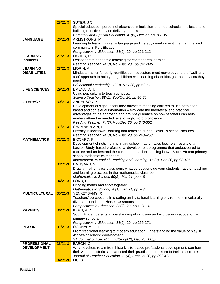|                                           | $25/21-3$   | SUTER, JC                                                                                                           |
|-------------------------------------------|-------------|---------------------------------------------------------------------------------------------------------------------|
|                                           |             | Special education personnel absences in inclusion-oriented schools: implications for                                |
|                                           |             | building effective service delivery models.                                                                         |
|                                           |             | Remedial and Special Education, 41(6), Dec 20, pp 341-351                                                           |
| <b>LANGUAGE</b>                           | $26/21-3$   | ARMSTRONG, M                                                                                                        |
|                                           |             | Learning to learn: children's language and literacy development in a marginalised                                   |
|                                           |             | community in Port Elizabeth.                                                                                        |
|                                           |             | Perspectives in Education, 38(2), 20, pp 201-212                                                                    |
| <b>LEARNING</b>                           | $27/21 - 3$ | FISHER, D                                                                                                           |
| (content)                                 |             | Lessons from pandemic teaching for content area learning.                                                           |
|                                           |             | Reading Teacher, 74(3), Nov/Dec 20, pp 341-345                                                                      |
| <b>LEARNING</b>                           | $28/21 - 3$ | MORIN, A                                                                                                            |
| <b>DISABILITIES</b>                       |             | Mindsets matter for early identification: educators must move beyond the "wait-and-                                 |
|                                           |             | see" approach to help young children with learning disabilities get the services they                               |
|                                           |             | need.                                                                                                               |
|                                           |             | Educational Leadership, 78(3), Nov 20, pp 52-57                                                                     |
| <b>LIFE SCIENCES</b>                      | $29/21 - 3$ | EMENAHA, U                                                                                                          |
|                                           |             | Using pop culture to teach genetics.                                                                                |
|                                           |             | Science Teacher, 88(1), Sep/Oct 20, pp 46-50                                                                        |
| <b>LITERACY</b>                           | $30/21 - 3$ | ANDERSON, K                                                                                                         |
|                                           |             | Development of sight vocabulary: advocate teaching children to use both code-                                       |
|                                           |             | based and contextual information - explicate the theoretical and practical                                          |
|                                           |             | advantages of the approach and provide guidance on how teachers can help                                            |
|                                           |             | readers attain the needed level of sight word proficiency.                                                          |
|                                           |             | Reading Teacher, 74(3), Nov/Dec 20, pp 346-352                                                                      |
|                                           | $31/21 - 3$ | CHAMBERLAIN, L                                                                                                      |
|                                           |             | Literacy in lockdown: learning and teaching during Covid-19 school closures.                                        |
|                                           |             | Reading Teacher, 74(3), Nov/Dec 20, pp 243-253                                                                      |
| <b>MATHEMATICS</b>                        | $32/21 - 3$ | <b>BICCARD, P</b>                                                                                                   |
|                                           |             | Development of noticing in primary school mathematics teachers: results of a                                        |
|                                           |             | Lesson Study-based professional development programme that endeavoured to                                           |
|                                           |             | capture and understand the concept of teacher-noticing in two South African primary<br>school mathematics teachers. |
|                                           |             |                                                                                                                     |
|                                           | $33/21 - 3$ | Independent Journal of Teaching and Learning, 15 (2), Dec 20, pp 92-106<br>HATISARU, V                              |
|                                           |             | Draw a mathematics classroom: what perceptions do your students have of teaching                                    |
|                                           |             | and learning practices in the mathematics classroom.                                                                |
|                                           |             | Mathematics in School, 50(2), Mar 21, pp 4-8                                                                        |
|                                           | $34/21 - 3$ | $\overline{\mathsf{LORD}}$ , E                                                                                      |
|                                           |             | Bringing maths and sport together.                                                                                  |
|                                           |             | Mathematics in School, 50(1), Jan 21, pp 2-3                                                                        |
| <b>MULTICULTURAL</b>                      | $35/21 - 3$ | <b>VENKETSAMY, R</b>                                                                                                |
|                                           |             | Teachers' perceptions in creating an invitational learning environment in culturally                                |
|                                           |             | diverse Foundation Phase classrooms.                                                                                |
|                                           |             | Perspectives in Education, 38(2), 20, pp 118-137                                                                    |
| <b>PARENTS</b>                            | $36/21 - 3$ | KERN, A C                                                                                                           |
|                                           |             | South African parents' understanding of inclusion and exclusion in education in                                     |
|                                           |             | primary schools.                                                                                                    |
|                                           |             | Perspectives in Education, 38(2), 20, pp 255-271                                                                    |
| <b>PLAYING</b>                            | $37/21 - 3$ | OGUNYEMI, FT                                                                                                        |
|                                           |             | From traditional learning to modern education: understanding the value of play in                                   |
|                                           |             | Africa's childhood development.                                                                                     |
|                                           |             | SA Journal of Education, 40(Suppl 2), Dec 20, 11pp                                                                  |
| <b>PROFESSIONAL</b><br><b>DEVELOPMENT</b> | $38/21 - 3$ | BARON, C                                                                                                            |
|                                           |             | What teachers retain from historic site-based professional development: see how                                     |
|                                           |             | their work at historic sites affected their practice upon return to their classrooms.                               |
|                                           | $39/21 - 3$ | Journal of Teacher Education, 71(4), Sep/Oct 20, pp 392-408<br>LIU, S                                               |
|                                           |             |                                                                                                                     |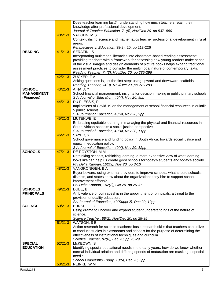|                   |             | Does teacher learning last? : understanding how much teachers retain their                                                                  |
|-------------------|-------------|---------------------------------------------------------------------------------------------------------------------------------------------|
|                   |             | knowledge after professional development.                                                                                                   |
|                   |             | Journal of Teacher Education, 71(5), Nov/Dec 20, pp 537-550                                                                                 |
|                   | $40/21 - 3$ | VAUGHN, M S                                                                                                                                 |
|                   |             | Contextualising science and mathematics teacher professional development in rural                                                           |
|                   |             | areas.                                                                                                                                      |
|                   |             | Perspectives in Education, 38(2), 20, pp 213-226                                                                                            |
| <b>READING</b>    | $41/21 - 3$ | <b>SERAFINI, S</b>                                                                                                                          |
|                   |             | Incorporating multimodal literacies into classroom-based reading assessment:                                                                |
|                   |             | providing teachers with a framework for assessing how young readers make sense                                                              |
|                   |             | of the visual images and design elements of picture books helps expand traditional                                                          |
|                   |             | assessment practices to consider the multimodal nature of contemporary texts.                                                               |
|                   |             | Reading Teacher, 74(3), Nov/Dec 20, pp 285-296                                                                                              |
|                   | $42/21-3$   | ZUCKER, TA                                                                                                                                  |
|                   |             | Asking questions is just the first step: using upward and downward scaffolds.                                                               |
|                   |             | Reading Teacher, 74(3), Nov/Dec 20, pp 275-283                                                                                              |
| <b>SCHOOL</b>     | $43/21 - 3$ | AINA, A Y                                                                                                                                   |
| <b>MANAGEMENT</b> |             | School financial management: insights for decision making in public primary schools.                                                        |
| (Finances)        |             | S A Journal of Education, 40(4), Nov 20, 9pp                                                                                                |
|                   | $44/21 - 3$ | DU PLESSIS, P                                                                                                                               |
|                   |             | Implications of Covid-19 on the management of school financial resources in quintile                                                        |
|                   |             | 5 public schools.                                                                                                                           |
|                   |             | S A Journal of Education, 40(4), Nov 20, 9pp                                                                                                |
|                   | $45/21 - 3$ | MUTEKWE, E                                                                                                                                  |
|                   |             | Embracing equitable learning in managing the physical and financial resources in                                                            |
|                   |             | South-African-schools: a social justice perspective.                                                                                        |
|                   | $46/21 - 3$ | S A Journal of Education, 40(4), Nov 20, 11pp<br>SAYED, Y                                                                                   |
|                   |             | School governance and funding policy in South Africa: towards social justice and                                                            |
|                   |             | equity in education policy.                                                                                                                 |
|                   |             | S A Journal of Education, 40(4), Nov 20, 12pp                                                                                               |
| <b>SCHOOLS</b>    | $47/21 - 3$ | DE ROYSTON, M M                                                                                                                             |
|                   |             | Rethinking schools, rethinking learning: a more expansive view of what learning                                                             |
|                   |             | looks like can help us create good schools for today's students and today's society.                                                        |
|                   |             | Phi Delta Kappan, 102(3), Nov 20, pp 8-13                                                                                                   |
|                   | $48/21 - 3$ | VANGRONIGEN, B A                                                                                                                            |
|                   |             | Buyer beware: using external providers to improve schools: what should schools,                                                             |
|                   |             | districts, and states know about the organizations they hire to support school                                                              |
|                   |             | improvement efforts?                                                                                                                        |
|                   |             | Phi Delta Kappan, 102(2), Oct 20, pp 26-31                                                                                                  |
| <b>SCHOOLS</b>    | $49/21 - 3$ | DUBE, B                                                                                                                                     |
| <b>PRINICPALS</b> |             | Ambivalence of comradeship in the appointment of principals: a threat to the                                                                |
|                   |             | provision of quality education.                                                                                                             |
|                   |             | SA Journal of Education, 40(Suppl 2), Dec 20, 10pp                                                                                          |
| <b>SCIENCE</b>    | $50/21 - 3$ | BURKE, L E C                                                                                                                                |
|                   |             | Using drama to uncover and expand student understandings of the nature of                                                                   |
|                   |             | science.                                                                                                                                    |
|                   |             | Science Teacher, 88(2), Nov/Dec 20, pp 28-35                                                                                                |
|                   | $51/21-3$   | <b>WATSON, SB</b>                                                                                                                           |
|                   |             | Action research for science teachers: basic research skills that teachers can utilize                                                       |
|                   |             | to conduct studies in classrooms and schools for the purpose of determining the<br>effectiveness of instructional techniques and curricula. |
|                   |             | Science Teacher, 87(6), Feb 20, pp 26-29                                                                                                    |
| <b>SPECIAL</b>    | $52/21-3$   | McKEOWN, S                                                                                                                                  |
| <b>EDUCATION</b>  |             | Identifying special educational needs in the early years: how do we know whether                                                            |
|                   |             | normal individual ariation and differing speeds of maturation are masking a special                                                         |
|                   |             | need?                                                                                                                                       |
|                   |             | School Leadership Today, 10(5), Dec 20, 6pp                                                                                                 |
|                   | $53/21 - 3$ | REINKE, WM                                                                                                                                  |
|                   |             |                                                                                                                                             |